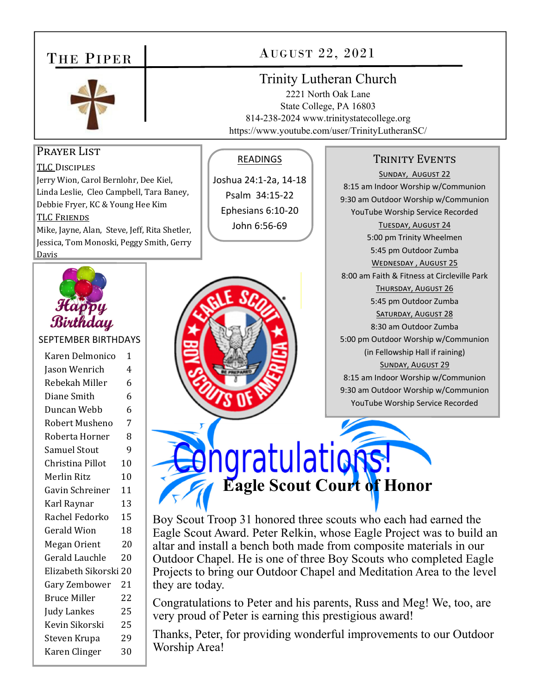## THE PIPER



## PRAYER LIST

Davis

TLC DISCIPLES Jerry Wion, Carol Bernlohr, Dee Kiel, Linda Leslie, Cleo Campbell, Tara Baney, Debbie Fryer, KC & Young Hee Kim TLC FRIENDS Mike, Jayne, Alan, Steve, Jeff, Rita Shetler, Jessica, Tom Monoski, Peggy Smith, Gerry



## Trinity Lutheran Church

2221 North Oak Lane State College, PA 16803 814-238-2024 www.trinitystatecollege.org https://www.youtube.com/user/TrinityLutheranSC/

### READINGS

Joshua 24:1‐2a, 14‐18 Psalm 34:15‐22 Ephesians 6:10‐20 John 6:56‐69

## TRINITY EVENTS

SUNDAY, AUGUST 22 8:15 am Indoor Worship w/Communion 9:30 am Outdoor Worship w/Communion YouTube Worship Service Recorded TUESDAY, AUGUST 24 5:00 pm Trinity Wheelmen 5:45 pm Outdoor Zumba WEDNESDAY, AUGUST 25 8:00 am Faith & Fitness at Circleville Park THURSDAY, AUGUST 26 5:45 pm Outdoor Zumba SATURDAY, AUGUST 28 8:30 am Outdoor Zumba 5:00 pm Outdoor Worship w/Communion (in Fellowship Hall if raining) SUNDAY, AUGUST 29 8:15 am Indoor Worship w/Communion 9:30 am Outdoor Worship w/Communion YouTube Worship Service Recorded



#### SEPTEMBER BIRTHDAYS

| Karen Delmonico       | 1  |
|-----------------------|----|
| Jason Wenrich         | 4  |
| Rebekah Miller        | 6  |
| Diane Smith           | 6  |
| Duncan Webb           | 6  |
| Robert Musheno        | 7  |
| Roberta Horner        | 8  |
| Samuel Stout          | 9  |
| Christina Pillot      | 10 |
| <b>Merlin Ritz</b>    | 10 |
| Gavin Schreiner       | 11 |
| Karl Raynar           | 13 |
| Rachel Fedorko        | 15 |
| Gerald Wion           | 18 |
| Megan Orient          | 20 |
| <b>Gerald Lauchle</b> | 20 |
| Elizabeth Sikorski 20 |    |
| Gary Zembower         | 21 |
| Bruce Miller          | 22 |
| <b>Judy Lankes</b>    | 25 |
| Kevin Sikorski        | 25 |
| Steven Krupa          | 29 |
| Karen Clinger         | 30 |
|                       |    |





Boy Scout Troop 31 honored three scouts who each had earned the Eagle Scout Award. Peter Relkin, whose Eagle Project was to build an altar and install a bench both made from composite materials in our Outdoor Chapel. He is one of three Boy Scouts who completed Eagle Projects to bring our Outdoor Chapel and Meditation Area to the level they are today.

Congratulations to Peter and his parents, Russ and Meg! We, too, are very proud of Peter is earning this prestigious award!

Thanks, Peter, for providing wonderful improvements to our Outdoor Worship Area!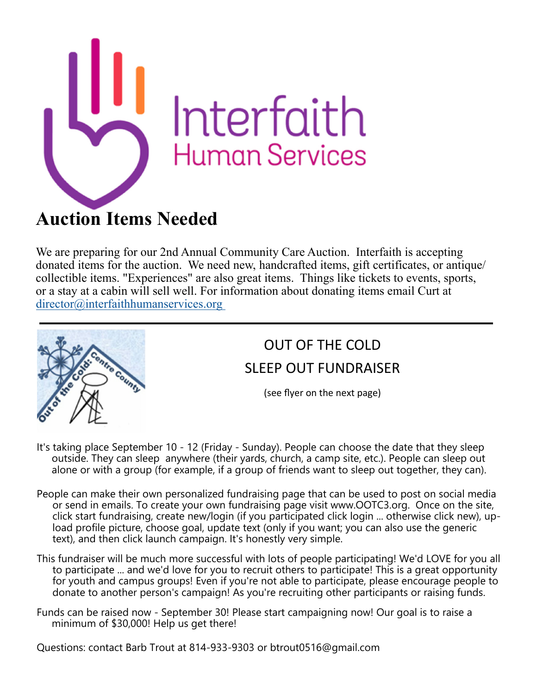

We are preparing for our 2nd Annual Community Care Auction. Interfaith is accepting donated items for the auction. We need new, handcrafted items, gift certificates, or antique/ collectible items. "Experiences" are also great items. Things like tickets to events, sports, or a stay at a cabin will sell well. For information about donating items email Curt at director@interfaithhumanservices.org



## OUT OF THE COLD SLEEP OUT FUNDRAISER

(see flyer on the next page)

- It's taking place September 10 12 (Friday Sunday). People can choose the date that they sleep outside. They can sleep anywhere (their yards, church, a camp site, etc.). People can sleep out alone or with a group (for example, if a group of friends want to sleep out together, they can).
- People can make their own personalized fundraising page that can be used to post on social media or send in emails. To create your own fundraising page visit www.OOTC3.org. Once on the site, click start fundraising, create new/login (if you participated click login ... otherwise click new), upload profile picture, choose goal, update text (only if you want; you can also use the generic text), and then click launch campaign. It's honestly very simple.
- This fundraiser will be much more successful with lots of people participating! We'd LOVE for you all to participate ... and we'd love for you to recruit others to participate! This is a great opportunity for youth and campus groups! Even if you're not able to participate, please encourage people to donate to another person's campaign! As you're recruiting other participants or raising funds.
- Funds can be raised now September 30! Please start campaigning now! Our goal is to raise a minimum of \$30,000! Help us get there!

Questions: contact Barb Trout at 814-933-9303 or btrout0516@gmail.com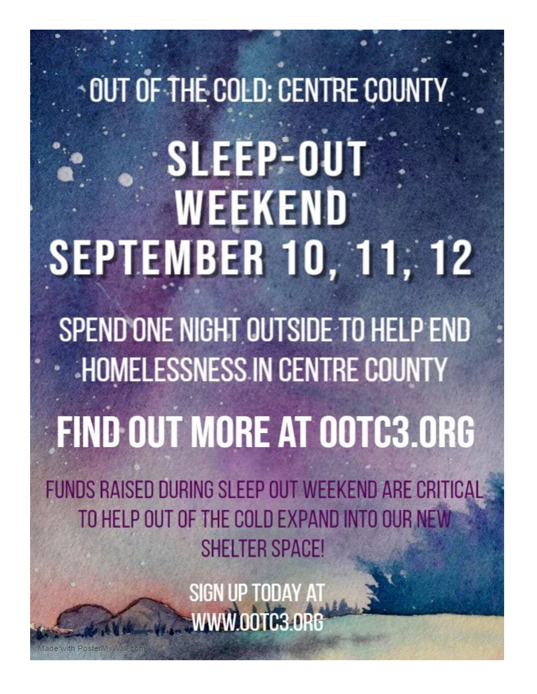# OUT OF THE COLD: CENTRE COUNTY SLEEP-OUT WEEKEND **SEPTEMBER 10, 11, 12** SPEND ONE NIGHT OUTSIDE TO HELP END **HOMELESSNESS IN CENTRE COUNTY FIND OUT MORE AT OOTC3.ORG** FUNDS RAISED DURING SLEEP OUT WEEKEND ARE CRITICAL

TO HELP OUT OF THE COLD EXPAND INTO OUR NEW **SHELTER SPACE!** 

> SIGN UP TODAY AT WWW.00TC3.0R6

lade with PosterMyWall.com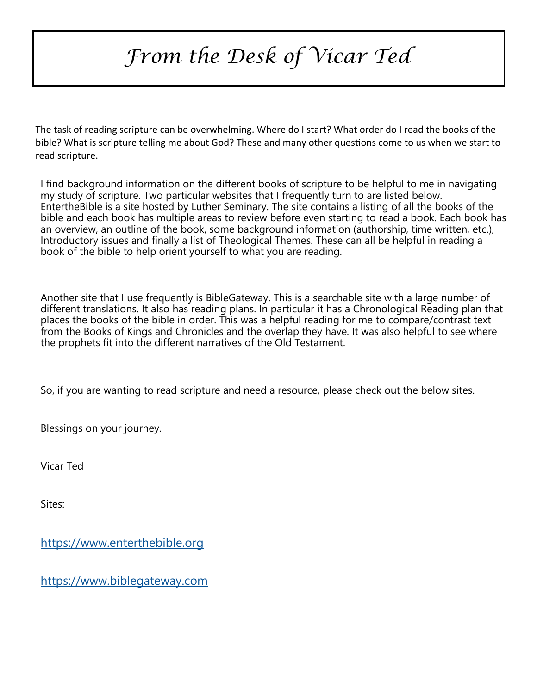## *From the Desk of Vicar Ted*

The task of reading scripture can be overwhelming. Where do I start? What order do I read the books of the bible? What is scripture telling me about God? These and many other questions come to us when we start to read scripture.

I find background information on the different books of scripture to be helpful to me in navigating my study of scripture. Two particular websites that I frequently turn to are listed below. EntertheBible is a site hosted by Luther Seminary. The site contains a listing of all the books of the bible and each book has multiple areas to review before even starting to read a book. Each book has an overview, an outline of the book, some background information (authorship, time written, etc.), Introductory issues and finally a list of Theological Themes. These can all be helpful in reading a book of the bible to help orient yourself to what you are reading.

Another site that I use frequently is BibleGateway. This is a searchable site with a large number of different translations. It also has reading plans. In particular it has a Chronological Reading plan that places the books of the bible in order. This was a helpful reading for me to compare/contrast text from the Books of Kings and Chronicles and the overlap they have. It was also helpful to see where the prophets fit into the different narratives of the Old Testament.

So, if you are wanting to read scripture and need a resource, please check out the below sites.

Blessings on your journey.

Vicar Ted

Sites:

https://www.enterthebible.org

https://www.biblegateway.com